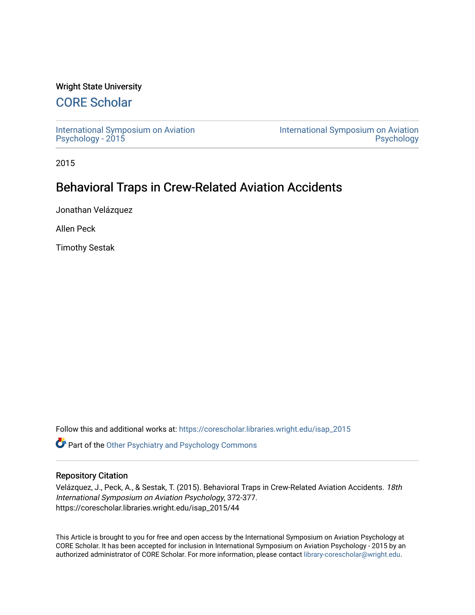# Wright State University

# [CORE Scholar](https://corescholar.libraries.wright.edu/)

[International Symposium on Aviation](https://corescholar.libraries.wright.edu/isap_2015) [Psychology - 2015](https://corescholar.libraries.wright.edu/isap_2015)

[International Symposium on Aviation](https://corescholar.libraries.wright.edu/isap)  [Psychology](https://corescholar.libraries.wright.edu/isap) 

2015

# Behavioral Traps in Crew-Related Aviation Accidents

Jonathan Velázquez

Allen Peck

Timothy Sestak

Follow this and additional works at: [https://corescholar.libraries.wright.edu/isap\\_2015](https://corescholar.libraries.wright.edu/isap_2015?utm_source=corescholar.libraries.wright.edu%2Fisap_2015%2F44&utm_medium=PDF&utm_campaign=PDFCoverPages)

**C** Part of the [Other Psychiatry and Psychology Commons](http://network.bepress.com/hgg/discipline/992?utm_source=corescholar.libraries.wright.edu%2Fisap_2015%2F44&utm_medium=PDF&utm_campaign=PDFCoverPages)

## Repository Citation

Velázquez, J., Peck, A., & Sestak, T. (2015). Behavioral Traps in Crew-Related Aviation Accidents. 18th International Symposium on Aviation Psychology, 372-377. https://corescholar.libraries.wright.edu/isap\_2015/44

This Article is brought to you for free and open access by the International Symposium on Aviation Psychology at CORE Scholar. It has been accepted for inclusion in International Symposium on Aviation Psychology - 2015 by an authorized administrator of CORE Scholar. For more information, please contact [library-corescholar@wright.edu](mailto:library-corescholar@wright.edu).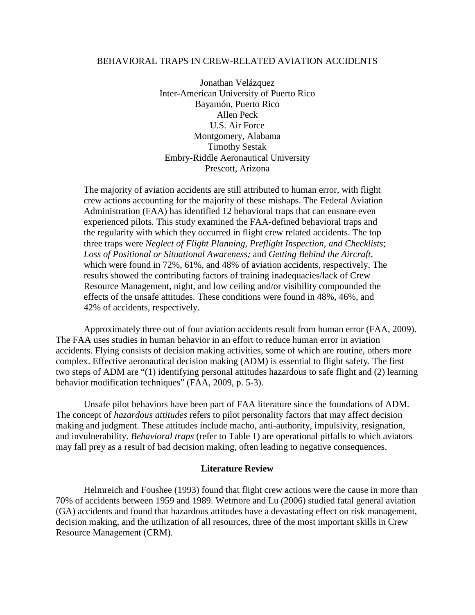# BEHAVIORAL TRAPS IN CREW-RELATED AVIATION ACCIDENTS

Jonathan Velázquez Inter-American University of Puerto Rico Bayamón, Puerto Rico Allen Peck U.S. Air Force Montgomery, Alabama Timothy Sestak Embry-Riddle Aeronautical University Prescott, Arizona

The majority of aviation accidents are still attributed to human error, with flight crew actions accounting for the majority of these mishaps. The Federal Aviation Administration (FAA) has identified 12 behavioral traps that can ensnare even experienced pilots. This study examined the FAA-defined behavioral traps and the regularity with which they occurred in flight crew related accidents. The top three traps were *Neglect of Flight Planning, Preflight Inspection, and Checklists*; *Loss of Positional or Situational Awareness;* and *Getting Behind the Aircraft,*  which were found in 72%, 61%, and 48% of aviation accidents, respectively. The results showed the contributing factors of training inadequacies/lack of Crew Resource Management, night, and low ceiling and/or visibility compounded the effects of the unsafe attitudes. These conditions were found in 48%, 46%, and 42% of accidents, respectively.

Approximately three out of four aviation accidents result from human error (FAA, 2009). The FAA uses studies in human behavior in an effort to reduce human error in aviation accidents. Flying consists of decision making activities, some of which are routine, others more complex. Effective aeronautical decision making (ADM) is essential to flight safety. The first two steps of ADM are "(1) identifying personal attitudes hazardous to safe flight and (2) learning behavior modification techniques" (FAA, 2009, p. 5-3).

Unsafe pilot behaviors have been part of FAA literature since the foundations of ADM. The concept of *hazardous attitudes* refers to pilot personality factors that may affect decision making and judgment. These attitudes include macho, anti-authority, impulsivity, resignation, and invulnerability. *Behavioral traps* (refer to Table 1) are operational pitfalls to which aviators may fall prey as a result of bad decision making, often leading to negative consequences.

#### **Literature Review**

Helmreich and Foushee (1993) found that flight crew actions were the cause in more than 70% of accidents between 1959 and 1989. Wetmore and Lu (2006) studied fatal general aviation (GA) accidents and found that hazardous attitudes have a devastating effect on risk management, decision making, and the utilization of all resources, three of the most important skills in Crew Resource Management (CRM).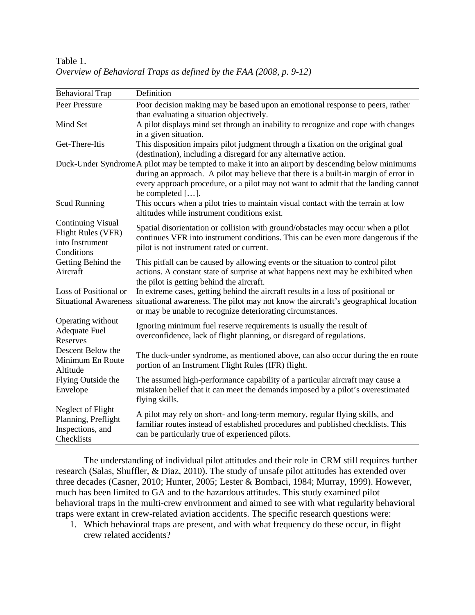| <b>Behavioral Trap</b>                                                                 | Definition                                                                                                                                                                                                                                                                                          |
|----------------------------------------------------------------------------------------|-----------------------------------------------------------------------------------------------------------------------------------------------------------------------------------------------------------------------------------------------------------------------------------------------------|
| Peer Pressure                                                                          | Poor decision making may be based upon an emotional response to peers, rather                                                                                                                                                                                                                       |
|                                                                                        | than evaluating a situation objectively.                                                                                                                                                                                                                                                            |
| Mind Set                                                                               | A pilot displays mind set through an inability to recognize and cope with changes<br>in a given situation.                                                                                                                                                                                          |
| Get-There-Itis                                                                         | This disposition impairs pilot judgment through a fixation on the original goal<br>(destination), including a disregard for any alternative action.                                                                                                                                                 |
|                                                                                        | Duck-Under Syndrome A pilot may be tempted to make it into an airport by descending below minimums<br>during an approach. A pilot may believe that there is a built-in margin of error in<br>every approach procedure, or a pilot may not want to admit that the landing cannot<br>be completed []. |
| <b>Scud Running</b>                                                                    | This occurs when a pilot tries to maintain visual contact with the terrain at low<br>altitudes while instrument conditions exist.                                                                                                                                                                   |
| <b>Continuing Visual</b><br><b>Flight Rules (VFR)</b><br>into Instrument<br>Conditions | Spatial disorientation or collision with ground/obstacles may occur when a pilot<br>continues VFR into instrument conditions. This can be even more dangerous if the<br>pilot is not instrument rated or current.                                                                                   |
| Getting Behind the<br>Aircraft                                                         | This pitfall can be caused by allowing events or the situation to control pilot<br>actions. A constant state of surprise at what happens next may be exhibited when<br>the pilot is getting behind the aircraft.                                                                                    |
| Loss of Positional or                                                                  | In extreme cases, getting behind the aircraft results in a loss of positional or<br>Situational Awareness situational awareness. The pilot may not know the aircraft's geographical location<br>or may be unable to recognize deteriorating circumstances.                                          |
| Operating without<br><b>Adequate Fuel</b><br>Reserves                                  | Ignoring minimum fuel reserve requirements is usually the result of<br>overconfidence, lack of flight planning, or disregard of regulations.                                                                                                                                                        |
| Descent Below the<br>Minimum En Route<br>Altitude                                      | The duck-under syndrome, as mentioned above, can also occur during the en route<br>portion of an Instrument Flight Rules (IFR) flight.                                                                                                                                                              |
| Flying Outside the<br>Envelope                                                         | The assumed high-performance capability of a particular aircraft may cause a<br>mistaken belief that it can meet the demands imposed by a pilot's overestimated<br>flying skills.                                                                                                                   |
| Neglect of Flight<br>Planning, Preflight<br>Inspections, and<br>Checklists             | A pilot may rely on short- and long-term memory, regular flying skills, and<br>familiar routes instead of established procedures and published checklists. This<br>can be particularly true of experienced pilots.                                                                                  |

Table 1. *Overview of Behavioral Traps as defined by the FAA (2008, p. 9-12)*

The understanding of individual pilot attitudes and their role in CRM still requires further research (Salas, Shuffler, & Diaz, 2010). The study of unsafe pilot attitudes has extended over three decades (Casner, 2010; Hunter, 2005; Lester & Bombaci, 1984; Murray, 1999). However, much has been limited to GA and to the hazardous attitudes. This study examined pilot behavioral traps in the multi-crew environment and aimed to see with what regularity behavioral traps were extant in crew-related aviation accidents. The specific research questions were:

1. Which behavioral traps are present, and with what frequency do these occur, in flight crew related accidents?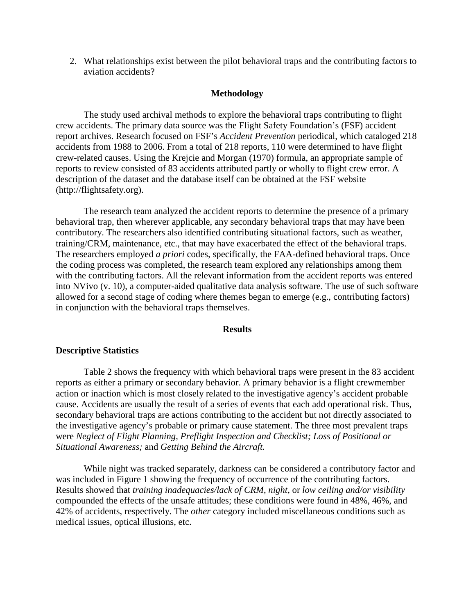2. What relationships exist between the pilot behavioral traps and the contributing factors to aviation accidents?

## **Methodology**

The study used archival methods to explore the behavioral traps contributing to flight crew accidents. The primary data source was the Flight Safety Foundation's (FSF) accident report archives. Research focused on FSF's *Accident Prevention* periodical, which cataloged 218 accidents from 1988 to 2006. From a total of 218 reports, 110 were determined to have flight crew-related causes. Using the Krejcie and Morgan (1970) formula, an appropriate sample of reports to review consisted of 83 accidents attributed partly or wholly to flight crew error. A description of the dataset and the database itself can be obtained at the FSF website (http://flightsafety.org).

The research team analyzed the accident reports to determine the presence of a primary behavioral trap, then wherever applicable, any secondary behavioral traps that may have been contributory. The researchers also identified contributing situational factors, such as weather, training/CRM, maintenance, etc., that may have exacerbated the effect of the behavioral traps. The researchers employed *a priori* codes, specifically, the FAA-defined behavioral traps. Once the coding process was completed, the research team explored any relationships among them with the contributing factors. All the relevant information from the accident reports was entered into NVivo (v. 10), a computer-aided qualitative data analysis software. The use of such software allowed for a second stage of coding where themes began to emerge (e.g., contributing factors) in conjunction with the behavioral traps themselves.

## **Results**

#### **Descriptive Statistics**

Table 2 shows the frequency with which behavioral traps were present in the 83 accident reports as either a primary or secondary behavior. A primary behavior is a flight crewmember action or inaction which is most closely related to the investigative agency's accident probable cause. Accidents are usually the result of a series of events that each add operational risk. Thus, secondary behavioral traps are actions contributing to the accident but not directly associated to the investigative agency's probable or primary cause statement. The three most prevalent traps were *Neglect of Flight Planning, Preflight Inspection and Checklist; Loss of Positional or Situational Awareness;* and *Getting Behind the Aircraft.*

While night was tracked separately, darkness can be considered a contributory factor and was included in Figure 1 showing the frequency of occurrence of the contributing factors. Results showed that *training inadequacies/lack of CRM*, *night*, or *low ceiling and/or visibility*  compounded the effects of the unsafe attitudes; these conditions were found in 48%, 46%, and 42% of accidents, respectively. The *other* category included miscellaneous conditions such as medical issues, optical illusions, etc.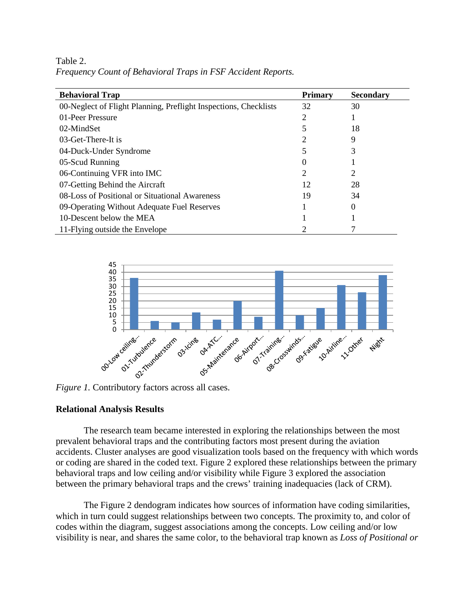Table 2. *Frequency Count of Behavioral Traps in FSF Accident Reports.* 

| <b>Behavioral Trap</b>                                           | <b>Primary</b> | <b>Secondary</b> |
|------------------------------------------------------------------|----------------|------------------|
| 00-Neglect of Flight Planning, Preflight Inspections, Checklists | 32             | 30               |
| 01-Peer Pressure                                                 | 2              |                  |
| 02-MindSet                                                       |                | 18               |
| 03-Get-There-It is                                               | 2              | 9                |
| 04-Duck-Under Syndrome                                           |                |                  |
| 05-Scud Running                                                  | $\theta$       |                  |
| 06-Continuing VFR into IMC                                       | 2              |                  |
| 07-Getting Behind the Aircraft                                   | 12             | 28               |
| 08-Loss of Positional or Situational Awareness                   | 19             | 34               |
| 09-Operating Without Adequate Fuel Reserves                      |                |                  |
| 10-Descent below the MEA                                         |                |                  |
| 11-Flying outside the Envelope                                   |                |                  |



## **Relational Analysis Results**

The research team became interested in exploring the relationships between the most prevalent behavioral traps and the contributing factors most present during the aviation accidents. Cluster analyses are good visualization tools based on the frequency with which words or coding are shared in the coded text. Figure 2 explored these relationships between the primary behavioral traps and low ceiling and/or visibility while Figure 3 explored the association between the primary behavioral traps and the crews' training inadequacies (lack of CRM).

The Figure 2 dendogram indicates how sources of information have coding similarities, which in turn could suggest relationships between two concepts. The proximity to, and color of codes within the diagram, suggest associations among the concepts. Low ceiling and/or low visibility is near, and shares the same color, to the behavioral trap known as *Loss of Positional or*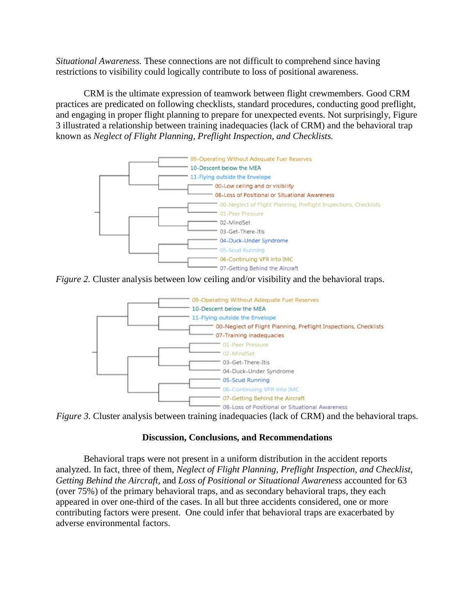*Situational Awareness.* These connections are not difficult to comprehend since having restrictions to visibility could logically contribute to loss of positional awareness.

CRM is the ultimate expression of teamwork between flight crewmembers. Good CRM practices are predicated on following checklists, standard procedures, conducting good preflight, and engaging in proper flight planning to prepare for unexpected events. Not surprisingly, Figure 3 illustrated a relationship between training inadequacies (lack of CRM) and the behavioral trap known as *Neglect of Flight Planning, Preflight Inspection, and Checklists.*



*Figure 2.* Cluster analysis between low ceiling and/or visibility and the behavioral traps.

![](_page_5_Figure_4.jpeg)

*Figure 3.* Cluster analysis between training inadequacies (lack of CRM) and the behavioral traps.

# **Discussion, Conclusions, and Recommendations**

Behavioral traps were not present in a uniform distribution in the accident reports analyzed. In fact, three of them, *Neglect of Flight Planning, Preflight Inspection, and Checklist, Getting Behind the Aircraft,* and *Loss of Positional or Situational Awareness* accounted for 63 (over 75%) of the primary behavioral traps, and as secondary behavioral traps, they each appeared in over one-third of the cases. In all but three accidents considered, one or more contributing factors were present. One could infer that behavioral traps are exacerbated by adverse environmental factors.